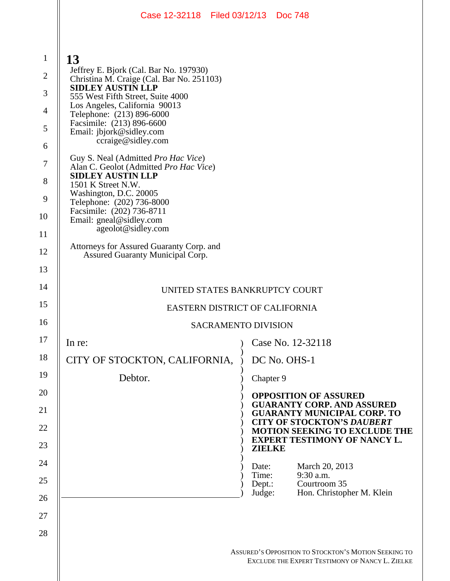|                                                                                             | Case 12-32118   Filed 03/12/13   Doc 748                                                                                                                                                                                                                                                                                                                                                                                                                                                          |                           |                                                                                                         |  |
|---------------------------------------------------------------------------------------------|---------------------------------------------------------------------------------------------------------------------------------------------------------------------------------------------------------------------------------------------------------------------------------------------------------------------------------------------------------------------------------------------------------------------------------------------------------------------------------------------------|---------------------------|---------------------------------------------------------------------------------------------------------|--|
| $\mathbf{1}$<br>$\overline{2}$<br>3<br>$\overline{4}$<br>5<br>6<br>$\overline{7}$<br>8<br>9 | 13<br>Jeffrey E. Bjork (Cal. Bar No. 197930)<br>Christina M. Craige (Cal. Bar No. 251103)<br><b>SIDLEY AUSTIN LLP</b><br>555 West Fifth Street, Suite 4000<br>Los Angeles, California 90013<br>Telephone: (213) 896-6000<br>Facsimile: (213) 896-6600<br>Email: jbjork@sidley.com<br>ccraige@sidley.com<br>Guy S. Neal (Admitted Pro Hac Vice)<br>Alan C. Geolot (Admitted Pro Hac Vice)<br><b>SIDLEY AUSTIN LLP</b><br>1501 K Street N.W.<br>Washington, D.C. 20005<br>Telephone: (202) 736-8000 |                           |                                                                                                         |  |
| 10                                                                                          | Facsimile: (202) 736-8711<br>Email: gneal@sidley.com                                                                                                                                                                                                                                                                                                                                                                                                                                              |                           |                                                                                                         |  |
| 11                                                                                          | ageolot@sidley.com                                                                                                                                                                                                                                                                                                                                                                                                                                                                                |                           |                                                                                                         |  |
| 12                                                                                          | Attorneys for Assured Guaranty Corp. and<br>Assured Guaranty Municipal Corp.                                                                                                                                                                                                                                                                                                                                                                                                                      |                           |                                                                                                         |  |
| 13                                                                                          |                                                                                                                                                                                                                                                                                                                                                                                                                                                                                                   |                           |                                                                                                         |  |
| 14                                                                                          | UNITED STATES BANKRUPTCY COURT                                                                                                                                                                                                                                                                                                                                                                                                                                                                    |                           |                                                                                                         |  |
| 15                                                                                          | EASTERN DISTRICT OF CALIFORNIA                                                                                                                                                                                                                                                                                                                                                                                                                                                                    |                           |                                                                                                         |  |
| 16                                                                                          | <b>SACRAMENTO DIVISION</b>                                                                                                                                                                                                                                                                                                                                                                                                                                                                        |                           |                                                                                                         |  |
| 17                                                                                          | In re:                                                                                                                                                                                                                                                                                                                                                                                                                                                                                            |                           | Case No. 12-32118                                                                                       |  |
| 18                                                                                          | CITY OF STOCKTON, CALIFORNIA,                                                                                                                                                                                                                                                                                                                                                                                                                                                                     |                           | DC No. OHS-1                                                                                            |  |
| 19                                                                                          | Debtor.                                                                                                                                                                                                                                                                                                                                                                                                                                                                                           | Chapter 9                 |                                                                                                         |  |
| 20<br>21                                                                                    |                                                                                                                                                                                                                                                                                                                                                                                                                                                                                                   |                           | <b>OPPOSITION OF ASSURED</b><br><b>GUARANTY CORP. AND ASSURED</b><br><b>GUARANTY MUNICIPAL CORP. TO</b> |  |
| 22                                                                                          |                                                                                                                                                                                                                                                                                                                                                                                                                                                                                                   |                           | <b>CITY OF STOCKTON'S DAUBERT</b><br><b>MOTION SEEKING TO EXCLUDE THE</b>                               |  |
| 23                                                                                          |                                                                                                                                                                                                                                                                                                                                                                                                                                                                                                   | <b>ZIELKE</b>             | <b>EXPERT TESTIMONY OF NANCY L.</b>                                                                     |  |
| 24                                                                                          |                                                                                                                                                                                                                                                                                                                                                                                                                                                                                                   | Date:                     | March 20, 2013                                                                                          |  |
| 25                                                                                          |                                                                                                                                                                                                                                                                                                                                                                                                                                                                                                   | Time:<br>Dept.:<br>Judge: | 9:30 a.m.<br>Courtroom 35<br>Hon. Christopher M. Klein                                                  |  |
| 26                                                                                          |                                                                                                                                                                                                                                                                                                                                                                                                                                                                                                   |                           |                                                                                                         |  |
| 27                                                                                          |                                                                                                                                                                                                                                                                                                                                                                                                                                                                                                   |                           |                                                                                                         |  |
| 28                                                                                          |                                                                                                                                                                                                                                                                                                                                                                                                                                                                                                   |                           |                                                                                                         |  |
|                                                                                             |                                                                                                                                                                                                                                                                                                                                                                                                                                                                                                   |                           | ASSURED'S OPPOSITION TO STOCKTON'S MOTION SEEKING TO<br>EXCLUDE THE EXPERT TESTIMONY OF NANCY L. ZIELKE |  |

Ш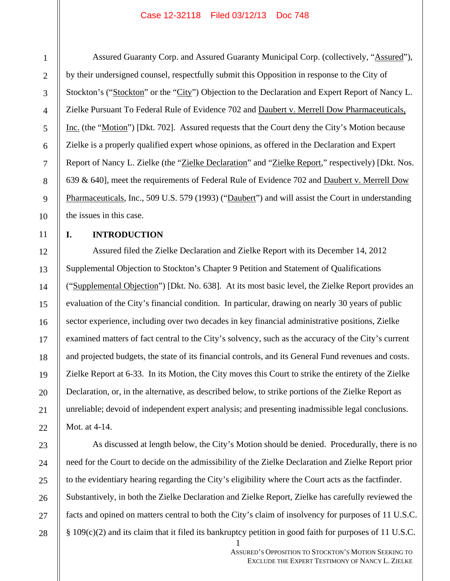Assured Guaranty Corp. and Assured Guaranty Municipal Corp. (collectively, "Assured"), by their undersigned counsel, respectfully submit this Opposition in response to the City of Stockton's ("Stockton" or the "City") Objection to the Declaration and Expert Report of Nancy L. Zielke Pursuant To Federal Rule of Evidence 702 and Daubert v. Merrell Dow Pharmaceuticals, Inc. (the "Motion") [Dkt. 702]. Assured requests that the Court deny the City's Motion because Zielke is a properly qualified expert whose opinions, as offered in the Declaration and Expert Report of Nancy L. Zielke (the "Zielke Declaration" and "Zielke Report," respectively) [Dkt. Nos. 639 & 640], meet the requirements of Federal Rule of Evidence 702 and Daubert v. Merrell Dow Pharmaceuticals, Inc., 509 U.S. 579 (1993) ("Daubert") and will assist the Court in understanding the issues in this case.

# **I. INTRODUCTION**

 $\parallel$  1

Assured filed the Zielke Declaration and Zielke Report with its December 14, 2012 Supplemental Objection to Stockton's Chapter 9 Petition and Statement of Qualifications ("Supplemental Objection") [Dkt. No. 638]. At its most basic level, the Zielke Report provides an evaluation of the City's financial condition. In particular, drawing on nearly 30 years of public sector experience, including over two decades in key financial administrative positions, Zielke examined matters of fact central to the City's solvency, such as the accuracy of the City's current and projected budgets, the state of its financial controls, and its General Fund revenues and costs. Zielke Report at 6-33. In its Motion, the City moves this Court to strike the entirety of the Zielke Declaration, or, in the alternative, as described below, to strike portions of the Zielke Report as unreliable; devoid of independent expert analysis; and presenting inadmissible legal conclusions. Mot. at 4-14.

As discussed at length below, the City's Motion should be denied. Procedurally, there is no need for the Court to decide on the admissibility of the Zielke Declaration and Zielke Report prior to the evidentiary hearing regarding the City's eligibility where the Court acts as the factfinder. Substantively, in both the Zielke Declaration and Zielke Report, Zielke has carefully reviewed the facts and opined on matters central to both the City's claim of insolvency for purposes of 11 U.S.C. § 109(c)(2) and its claim that it filed its bankruptcy petition in good faith for purposes of 11 U.S.C.

> ASSURED'S OPPOSITION TO STOCKTON'S MOTION SEEKING TO EXCLUDE THE EXPERT TESTIMONY OF NANCY L. ZIELKE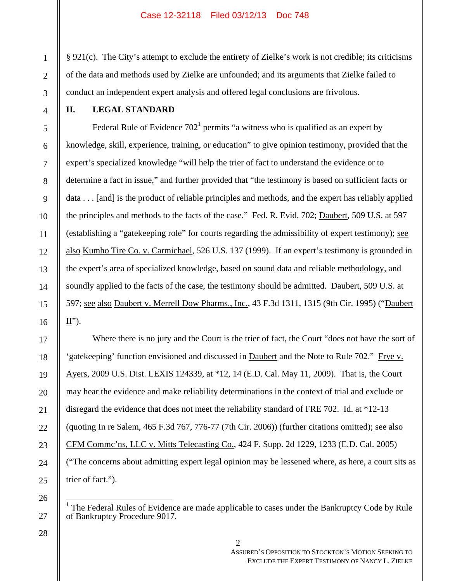§ 921(c). The City's attempt to exclude the entirety of Zielke's work is not credible; its criticisms of the data and methods used by Zielke are unfounded; and its arguments that Zielke failed to conduct an independent expert analysis and offered legal conclusions are frivolous.

# **II. LEGAL STANDARD**

Federal Rule of Evidence  $702<sup>1</sup>$  permits "a witness who is qualified as an expert by knowledge, skill, experience, training, or education" to give opinion testimony, provided that the expert's specialized knowledge "will help the trier of fact to understand the evidence or to determine a fact in issue," and further provided that "the testimony is based on sufficient facts or data . . . [and] is the product of reliable principles and methods, and the expert has reliably applied the principles and methods to the facts of the case." Fed. R. Evid. 702; Daubert, 509 U.S. at 597 (establishing a "gatekeeping role" for courts regarding the admissibility of expert testimony); see also Kumho Tire Co. v. Carmichael, 526 U.S. 137 (1999). If an expert's testimony is grounded in the expert's area of specialized knowledge, based on sound data and reliable methodology, and soundly applied to the facts of the case, the testimony should be admitted. Daubert, 509 U.S. at 597; see also Daubert v. Merrell Dow Pharms., Inc., 43 F.3d 1311, 1315 (9th Cir. 1995) ("Daubert  $\underline{\mathbf{II}}$ ").

Where there is no jury and the Court is the trier of fact, the Court "does not have the sort of 'gatekeeping' function envisioned and discussed in Daubert and the Note to Rule 702." Frye v. Ayers, 2009 U.S. Dist. LEXIS 124339, at \*12, 14 (E.D. Cal. May 11, 2009). That is, the Court may hear the evidence and make reliability determinations in the context of trial and exclude or disregard the evidence that does not meet the reliability standard of FRE 702. Id. at \*12-13 (quoting In re Salem, 465 F.3d 767, 776-77 (7th Cir. 2006)) (further citations omitted); see also CFM Commc'ns, LLC v. Mitts Telecasting Co., 424 F. Supp. 2d 1229, 1233 (E.D. Cal. 2005) ("The concerns about admitting expert legal opinion may be lessened where, as here, a court sits as trier of fact.").

26

 $\frac{1}{4}$ 

<sup>1</sup> The Federal Rules of Evidence are made applicable to cases under the Bankruptcy Code by Rule of Bankruptcy Procedure 9017.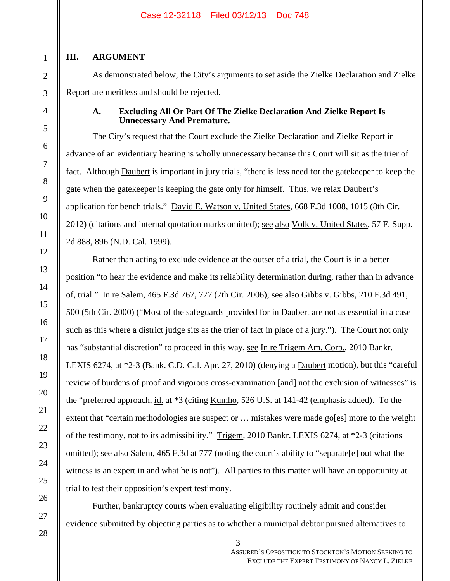# **III. ARGUMENT**

As demonstrated below, the City's arguments to set aside the Zielke Declaration and Zielke Report are meritless and should be rejected.

# **A. Excluding All Or Part Of The Zielke Declaration And Zielke Report Is Unnecessary And Premature.**

The City's request that the Court exclude the Zielke Declaration and Zielke Report in advance of an evidentiary hearing is wholly unnecessary because this Court will sit as the trier of fact. Although **Daubert** is important in jury trials, "there is less need for the gatekeeper to keep the gate when the gatekeeper is keeping the gate only for himself. Thus, we relax **Daubert's** application for bench trials." David E. Watson v. United States, 668 F.3d 1008, 1015 (8th Cir. 2012) (citations and internal quotation marks omitted); <u>see also Volk v. United States</u>, 57 F. Supp. 2d 888, 896 (N.D. Cal. 1999).

Rather than acting to exclude evidence at the outset of a trial, the Court is in a better position "to hear the evidence and make its reliability determination during, rather than in advance of, trial." In re Salem, 465 F.3d 767, 777 (7th Cir. 2006); see also Gibbs v. Gibbs, 210 F.3d 491, 500 (5th Cir. 2000) ("Most of the safeguards provided for in Daubert are not as essential in a case such as this where a district judge sits as the trier of fact in place of a jury."). The Court not only has "substantial discretion" to proceed in this way, see In re Trigem Am. Corp., 2010 Bankr. LEXIS 6274, at \*2-3 (Bank. C.D. Cal. Apr. 27, 2010) (denying a Daubert motion), but this "careful review of burdens of proof and vigorous cross-examination [and] not the exclusion of witnesses" is the "preferred approach, id. at \*3 (citing Kumho, 526 U.S. at 141-42 (emphasis added). To the extent that "certain methodologies are suspect or ... mistakes were made go[es] more to the weight of the testimony, not to its admissibility." Trigem, 2010 Bankr. LEXIS 6274, at \*2-3 (citations omitted); see also Salem, 465 F.3d at 777 (noting the court's ability to "separate[e] out what the witness is an expert in and what he is not"). All parties to this matter will have an opportunity at trial to test their opposition's expert testimony.

Further, bankruptcy courts when evaluating eligibility routinely admit and consider evidence submitted by objecting parties as to whether a municipal debtor pursued alternatives to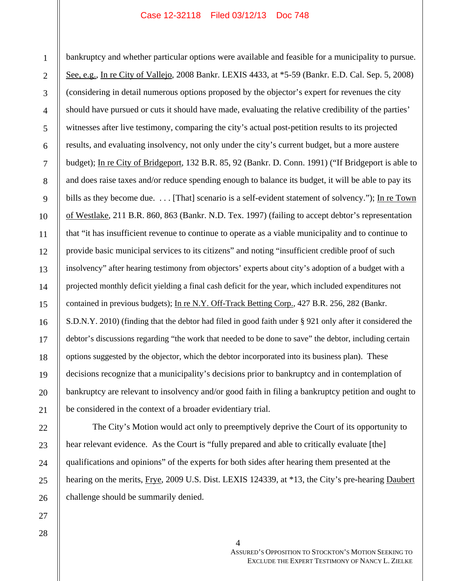bankruptcy and whether particular options were available and feasible for a municipality to pursue. See, e.g., In re City of Vallejo, 2008 Bankr. LEXIS 4433, at \*5-59 (Bankr. E.D. Cal. Sep. 5, 2008) (considering in detail numerous options proposed by the objector's expert for revenues the city should have pursued or cuts it should have made, evaluating the relative credibility of the parties' witnesses after live testimony, comparing the city's actual post-petition results to its projected results, and evaluating insolvency, not only under the city's current budget, but a more austere budget); In re City of Bridgeport, 132 B.R. 85, 92 (Bankr. D. Conn. 1991) ("If Bridgeport is able to and does raise taxes and/or reduce spending enough to balance its budget, it will be able to pay its bills as they become due. . . . [That] scenario is a self-evident statement of solvency."); In re Town of Westlake, 211 B.R. 860, 863 (Bankr. N.D. Tex. 1997) (failing to accept debtor's representation that "it has insufficient revenue to continue to operate as a viable municipality and to continue to provide basic municipal services to its citizens" and noting "insufficient credible proof of such insolvency" after hearing testimony from objectors' experts about city's adoption of a budget with a projected monthly deficit yielding a final cash deficit for the year, which included expenditures not contained in previous budgets); In re N.Y. Off-Track Betting Corp., 427 B.R. 256, 282 (Bankr. S.D.N.Y. 2010) (finding that the debtor had filed in good faith under § 921 only after it considered the debtor's discussions regarding "the work that needed to be done to save" the debtor, including certain options suggested by the objector, which the debtor incorporated into its business plan). These decisions recognize that a municipality's decisions prior to bankruptcy and in contemplation of bankruptcy are relevant to insolvency and/or good faith in filing a bankruptcy petition and ought to be considered in the context of a broader evidentiary trial.

The City's Motion would act only to preemptively deprive the Court of its opportunity to hear relevant evidence. As the Court is "fully prepared and able to critically evaluate [the] qualifications and opinions" of the experts for both sides after hearing them presented at the hearing on the merits, Frye, 2009 U.S. Dist. LEXIS 124339, at \*13, the City's pre-hearing Daubert challenge should be summarily denied.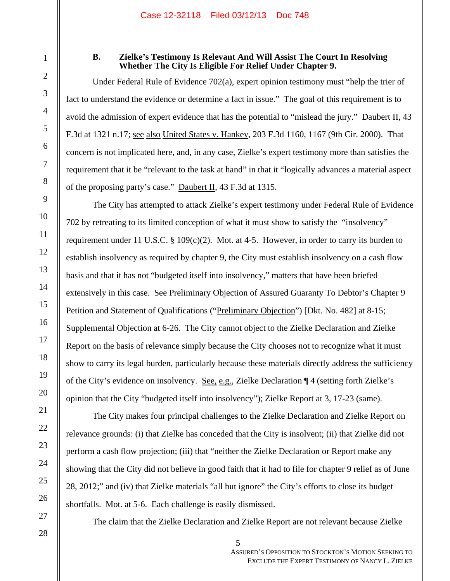1

2

3

4

5

6

7

8

9

10

11

12

13

14

15

16

17

18

19

20

21

22

23

24

25

26

27

# **B. Zielke's Testimony Is Relevant And Will Assist The Court In Resolving Whether The City Is Eligible For Relief Under Chapter 9.**

Under Federal Rule of Evidence 702(a), expert opinion testimony must "help the trier of fact to understand the evidence or determine a fact in issue." The goal of this requirement is to avoid the admission of expert evidence that has the potential to "mislead the jury." Daubert II, 43 F.3d at 1321 n.17; see also United States v. Hankey, 203 F.3d 1160, 1167 (9th Cir. 2000). That concern is not implicated here, and, in any case, Zielke's expert testimony more than satisfies the requirement that it be "relevant to the task at hand" in that it "logically advances a material aspect of the proposing party's case." Daubert II, 43 F.3d at 1315.

The City has attempted to attack Zielke's expert testimony under Federal Rule of Evidence 702 by retreating to its limited conception of what it must show to satisfy the "insolvency" requirement under 11 U.S.C.  $\S 109(c)(2)$ . Mot. at 4-5. However, in order to carry its burden to establish insolvency as required by chapter 9, the City must establish insolvency on a cash flow basis and that it has not "budgeted itself into insolvency," matters that have been briefed extensively in this case. See Preliminary Objection of Assured Guaranty To Debtor's Chapter 9 Petition and Statement of Qualifications ("Preliminary Objection") [Dkt. No. 482] at 8-15; Supplemental Objection at 6-26. The City cannot object to the Zielke Declaration and Zielke Report on the basis of relevance simply because the City chooses not to recognize what it must show to carry its legal burden, particularly because these materials directly address the sufficiency of the City's evidence on insolvency. See, e.g., Zielke Declaration ¶ 4 (setting forth Zielke's opinion that the City "budgeted itself into insolvency"); Zielke Report at 3, 17-23 (same).

The City makes four principal challenges to the Zielke Declaration and Zielke Report on relevance grounds: (i) that Zielke has conceded that the City is insolvent; (ii) that Zielke did not perform a cash flow projection; (iii) that "neither the Zielke Declaration or Report make any showing that the City did not believe in good faith that it had to file for chapter 9 relief as of June 28, 2012;" and (iv) that Zielke materials "all but ignore" the City's efforts to close its budget shortfalls. Mot. at 5-6. Each challenge is easily dismissed.

The claim that the Zielke Declaration and Zielke Report are not relevant because Zielke

 $\parallel$  5

ASSURED'S OPPOSITION TO STOCKTON'S MOTION SEEKING TO EXCLUDE THE EXPERT TESTIMONY OF NANCY L. ZIELKE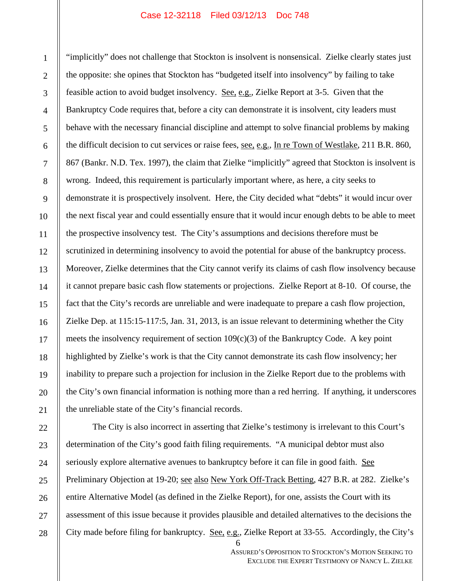"implicitly" does not challenge that Stockton is insolvent is nonsensical. Zielke clearly states just the opposite: she opines that Stockton has "budgeted itself into insolvency" by failing to take feasible action to avoid budget insolvency. See, e.g., Zielke Report at 3-5. Given that the Bankruptcy Code requires that, before a city can demonstrate it is insolvent, city leaders must behave with the necessary financial discipline and attempt to solve financial problems by making the difficult decision to cut services or raise fees, <u>see, e.g.</u>, In re Town of Westlake, 211 B.R. 860, 867 (Bankr. N.D. Tex. 1997), the claim that Zielke "implicitly" agreed that Stockton is insolvent is wrong. Indeed, this requirement is particularly important where, as here, a city seeks to demonstrate it is prospectively insolvent. Here, the City decided what "debts" it would incur over the next fiscal year and could essentially ensure that it would incur enough debts to be able to meet the prospective insolvency test. The City's assumptions and decisions therefore must be scrutinized in determining insolvency to avoid the potential for abuse of the bankruptcy process. Moreover, Zielke determines that the City cannot verify its claims of cash flow insolvency because it cannot prepare basic cash flow statements or projections. Zielke Report at 8-10. Of course, the fact that the City's records are unreliable and were inadequate to prepare a cash flow projection, Zielke Dep. at 115:15-117:5, Jan. 31, 2013, is an issue relevant to determining whether the City meets the insolvency requirement of section 109(c)(3) of the Bankruptcy Code. A key point highlighted by Zielke's work is that the City cannot demonstrate its cash flow insolvency; her inability to prepare such a projection for inclusion in the Zielke Report due to the problems with the City's own financial information is nothing more than a red herring. If anything, it underscores the unreliable state of the City's financial records.

 $\parallel$  6 The City is also incorrect in asserting that Zielke's testimony is irrelevant to this Court's determination of the City's good faith filing requirements. "A municipal debtor must also seriously explore alternative avenues to bankruptcy before it can file in good faith. See Preliminary Objection at 19-20; see also New York Off-Track Betting, 427 B.R. at 282. Zielke's entire Alternative Model (as defined in the Zielke Report), for one, assists the Court with its assessment of this issue because it provides plausible and detailed alternatives to the decisions the City made before filing for bankruptcy. See, e.g., Zielke Report at 33-55. Accordingly, the City's

> ASSURED'S OPPOSITION TO STOCKTON'S MOTION SEEKING TO EXCLUDE THE EXPERT TESTIMONY OF NANCY L. ZIELKE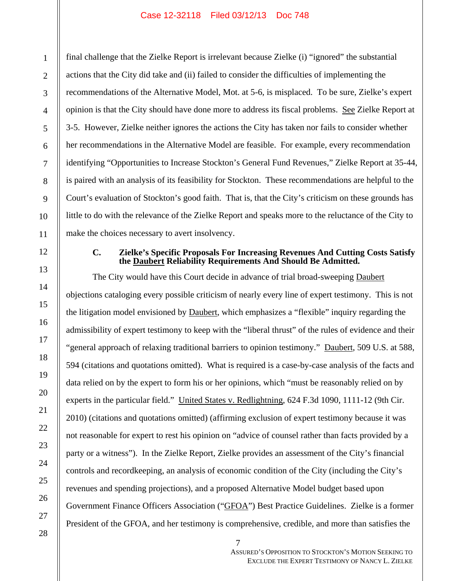final challenge that the Zielke Report is irrelevant because Zielke (i) "ignored" the substantial actions that the City did take and (ii) failed to consider the difficulties of implementing the recommendations of the Alternative Model, Mot. at 5-6, is misplaced. To be sure, Zielke's expert opinion is that the City should have done more to address its fiscal problems. See Zielke Report at 3-5. However, Zielke neither ignores the actions the City has taken nor fails to consider whether her recommendations in the Alternative Model are feasible. For example, every recommendation identifying "Opportunities to Increase Stockton's General Fund Revenues," Zielke Report at 35-44, is paired with an analysis of its feasibility for Stockton. These recommendations are helpful to the Court's evaluation of Stockton's good faith. That is, that the City's criticism on these grounds has little to do with the relevance of the Zielke Report and speaks more to the reluctance of the City to make the choices necessary to avert insolvency.

# **C. Zielke's Specific Proposals For Increasing Revenues And Cutting Costs Satisfy the Daubert Reliability Requirements And Should Be Admitted.**

The City would have this Court decide in advance of trial broad-sweeping **Daubert** objections cataloging every possible criticism of nearly every line of expert testimony. This is not the litigation model envisioned by Daubert, which emphasizes a "flexible" inquiry regarding the admissibility of expert testimony to keep with the "liberal thrust" of the rules of evidence and their "general approach of relaxing traditional barriers to opinion testimony." Daubert, 509 U.S. at 588, 594 (citations and quotations omitted). What is required is a case-by-case analysis of the facts and data relied on by the expert to form his or her opinions, which "must be reasonably relied on by experts in the particular field." United States v. Redlightning, 624 F.3d 1090, 1111-12 (9th Cir. 2010) (citations and quotations omitted) (affirming exclusion of expert testimony because it was not reasonable for expert to rest his opinion on "advice of counsel rather than facts provided by a party or a witness"). In the Zielke Report, Zielke provides an assessment of the City's financial controls and recordkeeping, an analysis of economic condition of the City (including the City's revenues and spending projections), and a proposed Alternative Model budget based upon Government Finance Officers Association ("GFOA") Best Practice Guidelines. Zielke is a former President of the GFOA, and her testimony is comprehensive, credible, and more than satisfies the

1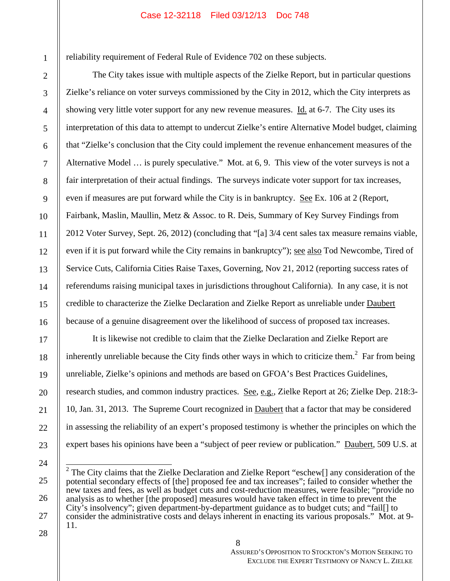reliability requirement of Federal Rule of Evidence 702 on these subjects.

The City takes issue with multiple aspects of the Zielke Report, but in particular questions Zielke's reliance on voter surveys commissioned by the City in 2012, which the City interprets as showing very little voter support for any new revenue measures. Id. at 6-7. The City uses its interpretation of this data to attempt to undercut Zielke's entire Alternative Model budget, claiming that "Zielke's conclusion that the City could implement the revenue enhancement measures of the Alternative Model … is purely speculative." Mot. at 6, 9. This view of the voter surveys is not a fair interpretation of their actual findings. The surveys indicate voter support for tax increases, even if measures are put forward while the City is in bankruptcy. See Ex. 106 at 2 (Report, Fairbank, Maslin, Maullin, Metz & Assoc. to R. Deis, Summary of Key Survey Findings from 2012 Voter Survey, Sept. 26, 2012) (concluding that "[a] 3/4 cent sales tax measure remains viable, even if it is put forward while the City remains in bankruptcy"); see also Tod Newcombe, Tired of Service Cuts, California Cities Raise Taxes, Governing, Nov 21, 2012 (reporting success rates of referendums raising municipal taxes in jurisdictions throughout California). In any case, it is not credible to characterize the Zielke Declaration and Zielke Report as unreliable under Daubert because of a genuine disagreement over the likelihood of success of proposed tax increases.

It is likewise not credible to claim that the Zielke Declaration and Zielke Report are inherently unreliable because the City finds other ways in which to criticize them.<sup>2</sup> Far from being unreliable, Zielke's opinions and methods are based on GFOA's Best Practices Guidelines, research studies, and common industry practices. See, e.g., Zielke Report at 26; Zielke Dep. 218:3- 10, Jan. 31, 2013. The Supreme Court recognized in Daubert that a factor that may be considered in assessing the reliability of an expert's proposed testimony is whether the principles on which the expert bases his opinions have been a "subject of peer review or publication." Daubert, 509 U.S. at

<sup>&</sup>lt;sup>2</sup> The City claims that the Zielke Declaration and Zielke Report "eschew[] any consideration of the potential secondary effects of [the] proposed fee and tax increases"; failed to consider whether the new taxes and fees, as well as budget cuts and cost-reduction measures, were feasible; "provide no analysis as to whether [the proposed] measures would have taken effect in time to prevent the City's insolvency"; given department-by-department guidance as to budget cuts; and "fail[] to consider the administrative costs and delays inherent in enacting its various proposals." Mot. at 9- 11.

ASSURED'S OPPOSITION TO STOCKTON'S MOTION SEEKING TO EXCLUDE THE EXPERT TESTIMONY OF NANCY L. ZIELKE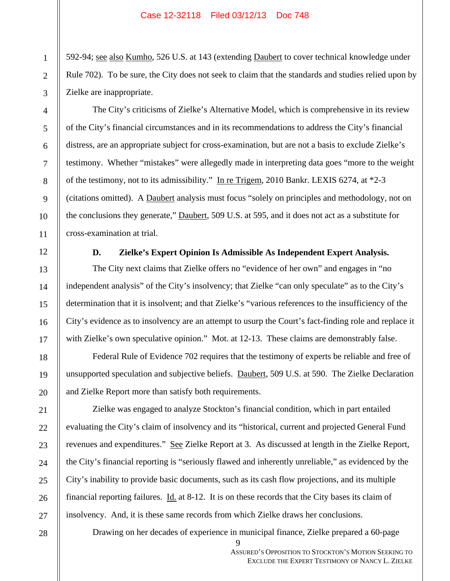592-94; see also Kumho, 526 U.S. at 143 (extending Daubert to cover technical knowledge under Rule 702). To be sure, the City does not seek to claim that the standards and studies relied upon by Zielke are inappropriate.

The City's criticisms of Zielke's Alternative Model, which is comprehensive in its review of the City's financial circumstances and in its recommendations to address the City's financial distress, are an appropriate subject for cross-examination, but are not a basis to exclude Zielke's testimony. Whether "mistakes" were allegedly made in interpreting data goes "more to the weight of the testimony, not to its admissibility." In re Trigem, 2010 Bankr. LEXIS 6274, at \*2-3 (citations omitted). A Daubert analysis must focus "solely on principles and methodology, not on the conclusions they generate," **Daubert**, 509 U.S. at 595, and it does not act as a substitute for cross-examination at trial.

#### **D. Zielke's Expert Opinion Is Admissible As Independent Expert Analysis.**

The City next claims that Zielke offers no "evidence of her own" and engages in "no independent analysis" of the City's insolvency; that Zielke "can only speculate" as to the City's determination that it is insolvent; and that Zielke's "various references to the insufficiency of the City's evidence as to insolvency are an attempt to usurp the Court's fact-finding role and replace it with Zielke's own speculative opinion." Mot. at 12-13. These claims are demonstrably false.

Federal Rule of Evidence 702 requires that the testimony of experts be reliable and free of unsupported speculation and subjective beliefs. Daubert, 509 U.S. at 590. The Zielke Declaration and Zielke Report more than satisfy both requirements.

Zielke was engaged to analyze Stockton's financial condition, which in part entailed evaluating the City's claim of insolvency and its "historical, current and projected General Fund revenues and expenditures." See Zielke Report at 3. As discussed at length in the Zielke Report, the City's financial reporting is "seriously flawed and inherently unreliable," as evidenced by the City's inability to provide basic documents, such as its cash flow projections, and its multiple financial reporting failures. Id. at 8-12. It is on these records that the City bases its claim of insolvency. And, it is these same records from which Zielke draws her conclusions.

Drawing on her decades of experience in municipal finance, Zielke prepared a 60-page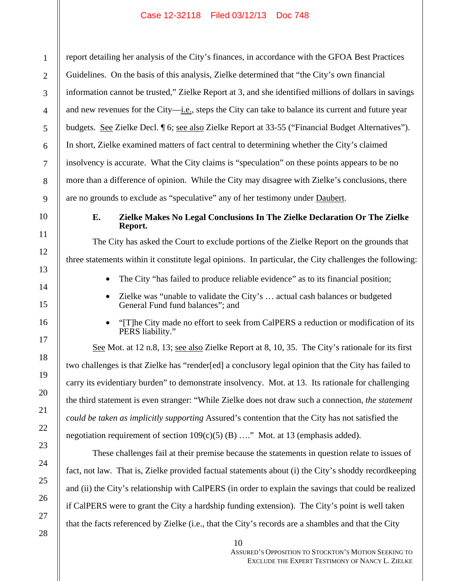report detailing her analysis of the City's finances, in accordance with the GFOA Best Practices Guidelines. On the basis of this analysis, Zielke determined that "the City's own financial information cannot be trusted," Zielke Report at 3, and she identified millions of dollars in savings and new revenues for the City—i.e., steps the City can take to balance its current and future year budgets. See Zielke Decl. ¶ 6; see also Zielke Report at 33-55 ("Financial Budget Alternatives"). In short, Zielke examined matters of fact central to determining whether the City's claimed insolvency is accurate. What the City claims is "speculation" on these points appears to be no more than a difference of opinion. While the City may disagree with Zielke's conclusions, there are no grounds to exclude as "speculative" any of her testimony under Daubert.

## **E. Zielke Makes No Legal Conclusions In The Zielke Declaration Or The Zielke Report.**

The City has asked the Court to exclude portions of the Zielke Report on the grounds that three statements within it constitute legal opinions. In particular, the City challenges the following:

- The City "has failed to produce reliable evidence" as to its financial position;
- Zielke was "unable to validate the City's … actual cash balances or budgeted General Fund fund balances"; and
- "[T]he City made no effort to seek from CalPERS a reduction or modification of its PERS liability."

See Mot. at 12 n.8, 13; see also Zielke Report at 8, 10, 35. The City's rationale for its first two challenges is that Zielke has "render[ed] a conclusory legal opinion that the City has failed to carry its evidentiary burden" to demonstrate insolvency. Mot. at 13. Its rationale for challenging the third statement is even stranger: "While Zielke does not draw such a connection, *the statement could be taken as implicitly supporting* Assured's contention that the City has not satisfied the negotiation requirement of section  $109(c)(5)$  (B) ...." Mot. at 13 (emphasis added).

These challenges fail at their premise because the statements in question relate to issues of fact, not law. That is, Zielke provided factual statements about (i) the City's shoddy recordkeeping and (ii) the City's relationship with CalPERS (in order to explain the savings that could be realized if CalPERS were to grant the City a hardship funding extension). The City's point is well taken that the facts referenced by Zielke (i.e., that the City's records are a shambles and that the City

1

10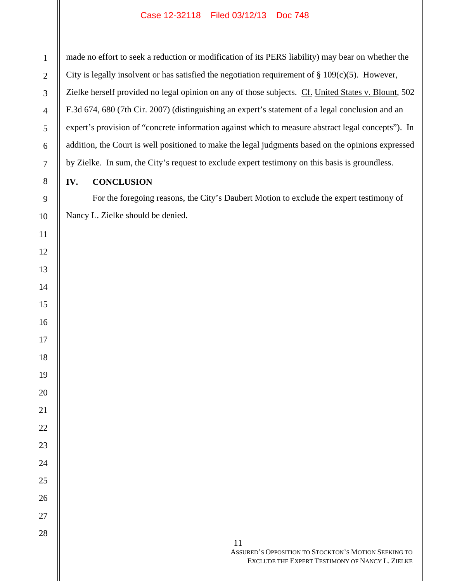made no effort to seek a reduction or modification of its PERS liability) may bear on whether the City is legally insolvent or has satisfied the negotiation requirement of  $\S 109(c)(5)$ . However, Zielke herself provided no legal opinion on any of those subjects. Cf. United States v. Blount, 502 F.3d 674, 680 (7th Cir. 2007) (distinguishing an expert's statement of a legal conclusion and an expert's provision of "concrete information against which to measure abstract legal concepts"). In addition, the Court is well positioned to make the legal judgments based on the opinions expressed by Zielke. In sum, the City's request to exclude expert testimony on this basis is groundless.

# **IV. CONCLUSION**

For the foregoing reasons, the City's Daubert Motion to exclude the expert testimony of Nancy L. Zielke should be denied.